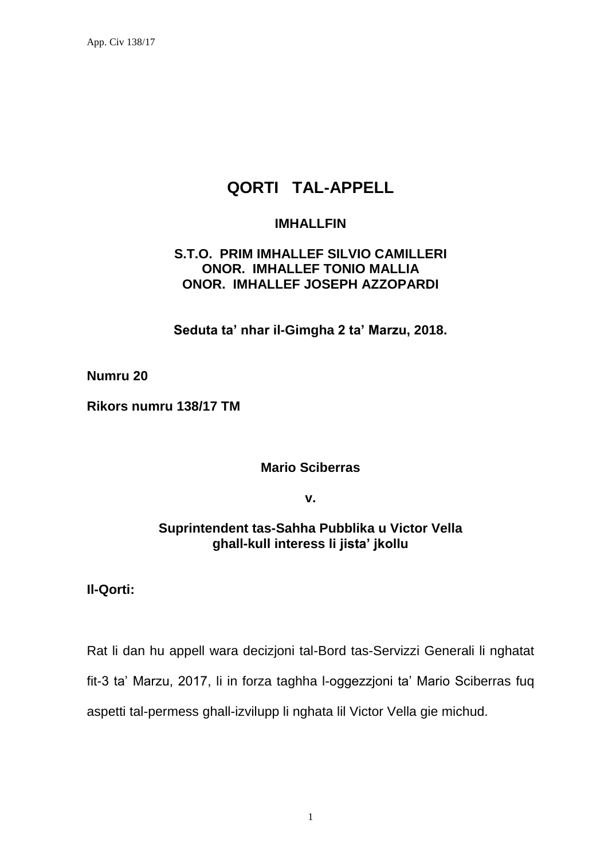# **QORTI TAL-APPELL**

## **IMHALLFIN**

# **S.T.O. PRIM IMHALLEF SILVIO CAMILLERI ONOR. IMHALLEF TONIO MALLIA ONOR. IMHALLEF JOSEPH AZZOPARDI**

**Seduta ta' nhar il-Gimgha 2 ta' Marzu, 2018.**

**Numru 20**

**Rikors numru 138/17 TM**

**Mario Sciberras**

**v.**

# **Suprintendent tas-Sahha Pubblika u Victor Vella ghall-kull interess li jista' jkollu**

## **Il-Qorti:**

Rat li dan hu appell wara decizjoni tal-Bord tas-Servizzi Generali li nghatat fit-3 ta' Marzu, 2017, li in forza taghha l-oggezzjoni ta' Mario Sciberras fuq aspetti tal-permess ghall-izvilupp li nghata lil Victor Vella gie michud.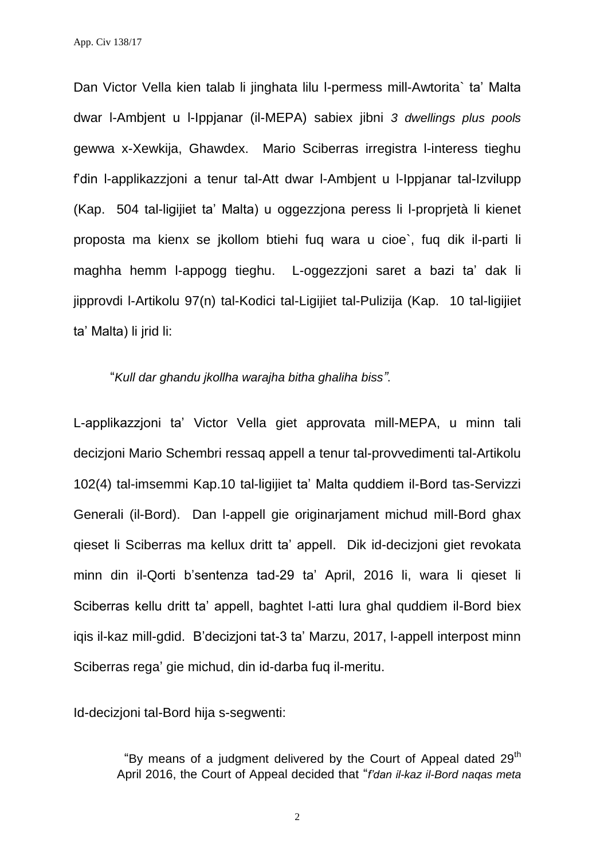Dan Victor Vella kien talab li jinghata lilu l-permess mill-Awtorita` ta' Malta dwar l-Ambjent u l-Ippjanar (il-MEPA) sabiex jibni *3 dwellings plus pools* gewwa x-Xewkija, Ghawdex. Mario Sciberras irregistra l-interess tieghu f'din l-applikazzjoni a tenur tal-Att dwar l-Ambjent u l-Ippjanar tal-Izvilupp (Kap. 504 tal-ligijiet ta' Malta) u oggezzjona peress li l-proprjetà li kienet proposta ma kienx se jkollom btiehi fuq wara u cioe`, fuq dik il-parti li maghha hemm l-appogg tieghu. L-oggezzjoni saret a bazi ta' dak li jipprovdi l-Artikolu 97(n) tal-Kodici tal-Ligijiet tal-Pulizija (Kap. 10 tal-ligijiet ta' Malta) li jrid li:

#### "*Kull dar ghandu jkollha warajha bitha ghaliha biss"*.

L-applikazzjoni ta' Victor Vella giet approvata mill-MEPA, u minn tali decizjoni Mario Schembri ressaq appell a tenur tal-provvedimenti tal-Artikolu 102(4) tal-imsemmi Kap.10 tal-ligijiet ta' Malta quddiem il-Bord tas-Servizzi Generali (il-Bord). Dan l-appell gie originarjament michud mill-Bord ghax qieset li Sciberras ma kellux dritt ta' appell. Dik id-decizjoni giet revokata minn din il-Qorti b'sentenza tad-29 ta' April, 2016 li, wara li qieset li Sciberras kellu dritt ta' appell, baghtet l-atti lura ghal quddiem il-Bord biex iqis il-kaz mill-gdid. B'decizjoni tat-3 ta' Marzu, 2017, l-appell interpost minn Sciberras rega' gie michud, din id-darba fuq il-meritu.

Id-decizjoni tal-Bord hija s-segwenti:

"By means of a judgment delivered by the Court of Appeal dated 29<sup>th</sup> April 2016, the Court of Appeal decided that "*f'dan il-kaz il-Bord naqas meta* 

2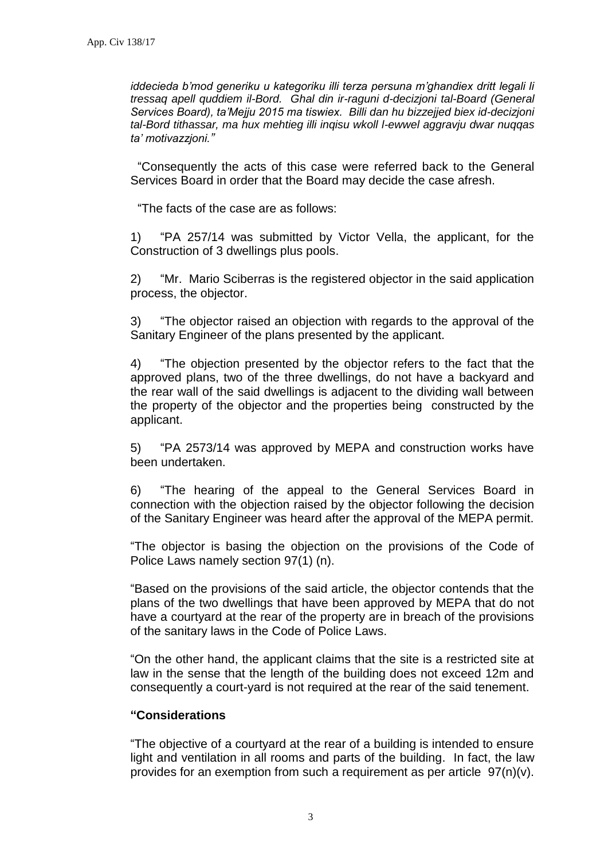*iddecieda b'mod generiku u kategoriku illi terza persuna m'ghandiex dritt legali li tressaq apell quddiem il-Bord. Ghal din ir-raguni d-decizjoni tal-Board (General Services Board), ta'Mejju 2015 ma tiswiex. Billi dan hu bizzejjed biex id-decizjoni tal-Bord tithassar, ma hux mehtieg illi inqisu wkoll l-ewwel aggravju dwar nuqqas ta' motivazzjoni."*

"Consequently the acts of this case were referred back to the General Services Board in order that the Board may decide the case afresh.

"The facts of the case are as follows:

1) "PA 257/14 was submitted by Victor Vella, the applicant, for the Construction of 3 dwellings plus pools.

2) "Mr. Mario Sciberras is the registered objector in the said application process, the objector.

3) "The objector raised an objection with regards to the approval of the Sanitary Engineer of the plans presented by the applicant.

4) "The objection presented by the objector refers to the fact that the approved plans, two of the three dwellings, do not have a backyard and the rear wall of the said dwellings is adjacent to the dividing wall between the property of the objector and the properties being constructed by the applicant.

5) "PA 2573/14 was approved by MEPA and construction works have been undertaken.

6) "The hearing of the appeal to the General Services Board in connection with the objection raised by the objector following the decision of the Sanitary Engineer was heard after the approval of the MEPA permit.

"The objector is basing the objection on the provisions of the Code of Police Laws namely section 97(1) (n).

"Based on the provisions of the said article, the objector contends that the plans of the two dwellings that have been approved by MEPA that do not have a courtyard at the rear of the property are in breach of the provisions of the sanitary laws in the Code of Police Laws.

"On the other hand, the applicant claims that the site is a restricted site at law in the sense that the length of the building does not exceed 12m and consequently a court-yard is not required at the rear of the said tenement.

#### **"Considerations**

"The objective of a courtyard at the rear of a building is intended to ensure light and ventilation in all rooms and parts of the building. In fact, the law provides for an exemption from such a requirement as per article 97(n)(v).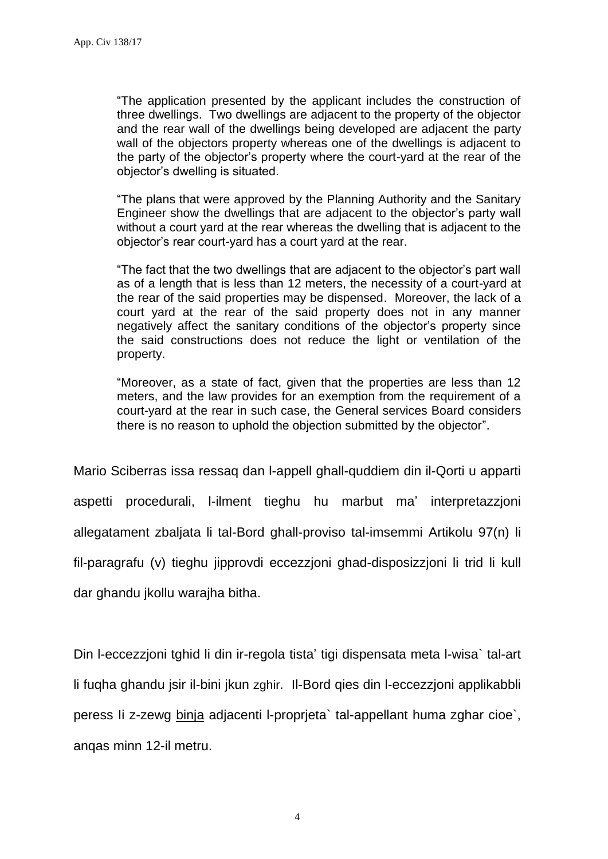"The application presented by the applicant includes the construction of three dwellings. Two dwellings are adjacent to the property of the objector and the rear wall of the dwellings being developed are adjacent the party wall of the objectors property whereas one of the dwellings is adjacent to the party of the objector's property where the court-yard at the rear of the objector's dwelling is situated.

"The plans that were approved by the Planning Authority and the Sanitary Engineer show the dwellings that are adjacent to the objector's party wall without a court yard at the rear whereas the dwelling that is adjacent to the objector's rear court-yard has a court yard at the rear.

"The fact that the two dwellings that are adjacent to the objector's part wall as of a length that is less than 12 meters, the necessity of a court-yard at the rear of the said properties may be dispensed. Moreover, the lack of a court yard at the rear of the said property does not in any manner negatively affect the sanitary conditions of the objector's property since the said constructions does not reduce the light or ventilation of the property.

"Moreover, as a state of fact, given that the properties are less than 12 meters, and the law provides for an exemption from the requirement of a court-yard at the rear in such case, the General services Board considers there is no reason to uphold the objection submitted by the objector".

Mario Sciberras issa ressaq dan l-appell ghall-quddiem din il-Qorti u apparti aspetti procedurali, l-ilment tieghu hu marbut ma' interpretazzjoni allegatament zbaljata li tal-Bord ghall-proviso tal-imsemmi Artikolu 97(n) li fil-paragrafu (v) tieghu jipprovdi eccezzjoni ghad-disposizzjoni li trid li kull dar ghandu jkollu warajha bitha.

Din l-eccezzjoni tghid li din ir-regola tista' tigi dispensata meta l-wisa` tal-art li fuqha ghandu jsir il-bini jkun zghir. Il-Bord qies din l-eccezzjoni applikabbli peress Ii z-zewg binja adjacenti l-proprjeta` tal-appellant huma zghar cioe`, anqas minn 12-il metru.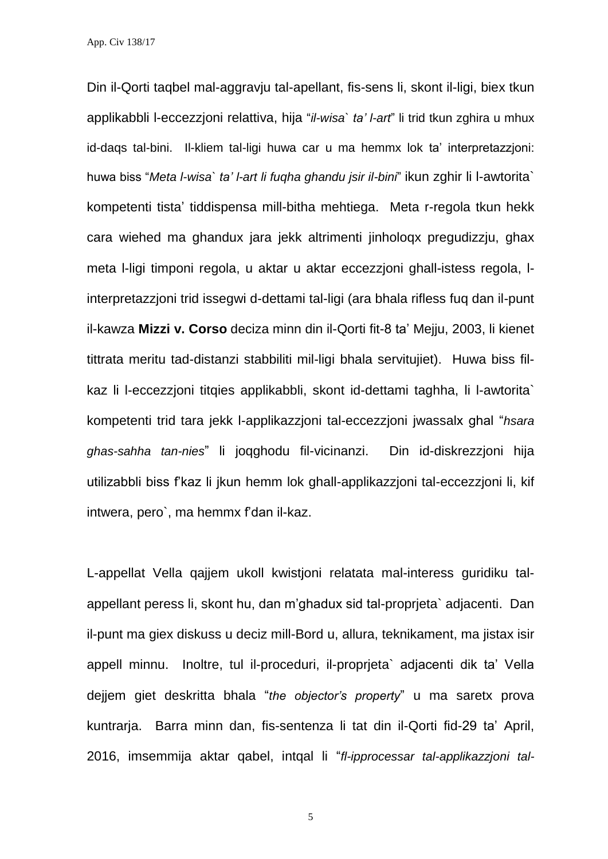App. Civ 138/17

Din il-Qorti taqbel mal-aggravju tal-apellant, fis-sens li, skont il-ligi, biex tkun applikabbli l-eccezzjoni relattiva, hija "*il-wisa` ta' l-art*" li trid tkun zghira u mhux id-daqs tal-bini. Il-kliem tal-ligi huwa car u ma hemmx lok ta' interpretazzjoni: huwa biss "*Meta l-wisa` ta' l-art li fuqha ghandu jsir il-bini*" ikun zghir li l-awtorita` kompetenti tista' tiddispensa mill-bitha mehtiega. Meta r-regola tkun hekk cara wiehed ma ghandux jara jekk altrimenti jinholoqx pregudizzju, ghax meta l-ligi timponi regola, u aktar u aktar eccezzjoni ghall-istess regola, linterpretazzjoni trid issegwi d-dettami tal-ligi (ara bhala rifless fuq dan il-punt il-kawza **Mizzi v. Corso** deciza minn din il-Qorti fit-8 ta' Mejju, 2003, li kienet tittrata meritu tad-distanzi stabbiliti mil-ligi bhala servitujiet). Huwa biss filkaz li l-eccezzjoni titqies applikabbli, skont id-dettami taghha, li l-awtorita` kompetenti trid tara jekk l-applikazzjoni tal-eccezzjoni jwassalx ghal "*hsara ghas-sahha tan-nies*" li joqghodu fil-vicinanzi. Din id-diskrezzjoni hija utilizabbli biss f'kaz li jkun hemm lok ghall-applikazzjoni tal-eccezzjoni li, kif intwera, pero`, ma hemmx f'dan il-kaz.

L-appellat Vella qajjem ukoll kwistjoni relatata mal-interess guridiku talappellant peress li, skont hu, dan m'ghadux sid tal-proprjeta` adjacenti. Dan il-punt ma giex diskuss u deciz mill-Bord u, allura, teknikament, ma jistax isir appell minnu. Inoltre, tul il-proceduri, il-proprjeta` adjacenti dik ta' Vella dejjem giet deskritta bhala "*the objector's property*" u ma saretx prova kuntrarja. Barra minn dan, fis-sentenza li tat din il-Qorti fid-29 ta' April, 2016, imsemmija aktar qabel, intqal li "*fl-ipprocessar tal-applikazzjoni tal-*

5